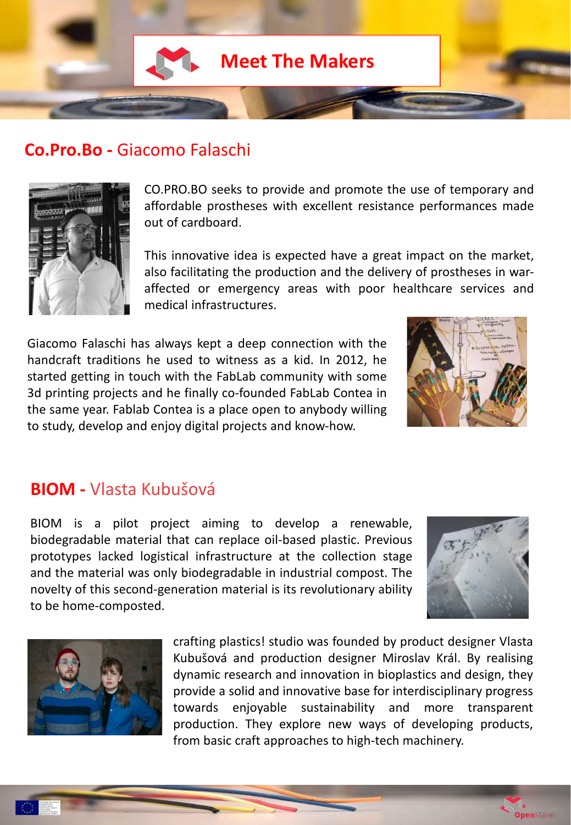

## **Co.Pro.Bo -** Giacomo Falaschi



CO.PRO.BO seeks to provide and promote the use of temporary and affordable prostheses with excellent resistance performances made out of cardboard.

This innovative idea is expected have a great impact on the market, also facilitating the production and the delivery of prostheses in waraffected or emergency areas with poor healthcare services and medical infrastructures.

Giacomo Falaschi has always kept a deep connection with the handcraft traditions he used to witness as a kid. In 2012, he started getting in touch with the FabLab community with some 3d printing projects and he finally co-founded FabLab Contea in the same year. Fablab Contea is a place open to anybody willing to study, develop and enjoy digital projects and know-how.



# **BIOM -** Vlasta Kubušová

BIOM is a pilot project aiming to develop a renewable, biodegradable material that can replace oil-based plastic. Previous prototypes lacked logistical infrastructure at the collection stage and the material was only biodegradable in industrial compost. The novelty of this second-generation material is its revolutionary ability to be home-composted.



**Open**Maker



crafting plastics! studio was founded by product designer Vlasta Kubušová and production designer Miroslav Král. By realising dynamic research and innovation in bioplastics and design, they provide a solid and innovative base for interdisciplinary progress towards enjoyable sustainability and more transparent production. They explore new ways of developing products, from basic craft approaches to high-tech machinery.